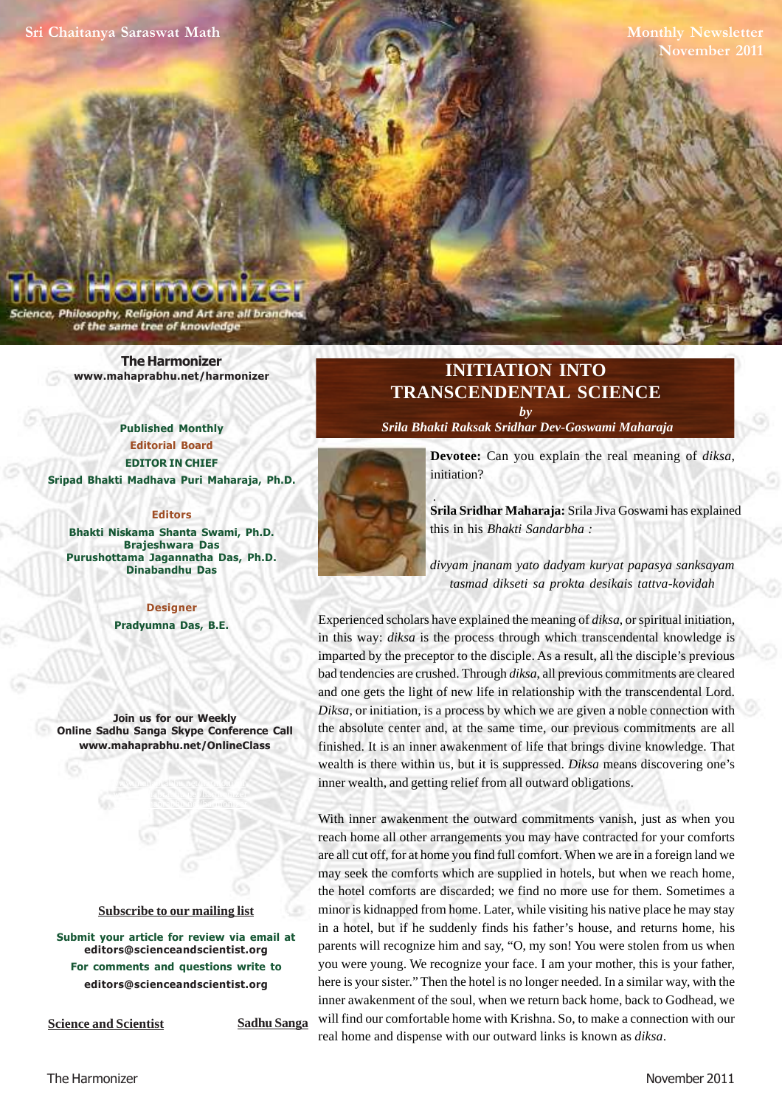**Monthly Newsletter November 2011**

Philosophy, Religion and Art are all branc of the same tree of knowledge

> **[The Harmonizer](http://www.mahaprabhu.net/harmonizer) www.mahaprabhu.net/harmonizer**

**Published Monthly Editorial Board EDITOR IN CHIEF [Sripad Bhakti Madhava Puri Maharaja, Ph.D.](http://mahaprabhu.net/sadhusanga/blog1.php/2009/10/01/affectionate-guardians)**

#### **Editors**

**Bhakti Niskama Shanta Swami, Ph.D. Brajeshwara Das Purushottama Jagannatha Das, Ph.D. Dinabandhu Das**

> **Designer Pradyumna Das, B.E.**

**Join us for our Weekly Online Sadhu Sanga Skype Conference Call www.mahaprabhu.net/OnlineClass**

> www.mahaprabhu.net/harmonizer www.mahaprabhu.net/harmonizer www.mahaprabhu.net/harmonizer

#### **<u>Subscribe to our mailing list</u>**

**Submit your article for review via email at editors@scienceandscientist.org For comments and questions write to editors@scienceandscientist.org**

**Science and Scientist Sadhu Sanga** 

# **INITIATION INTO TRANSCENDENTAL SCIENCE** *by*

 *[Srila Bhakti Raksak Sridhar Dev-Goswami Maharaja](http://www.scsmath.com/docs/sridhar_maharaj.html)*



**Devotee:** Can you explain the real meaning of *diksa*, initiation?

**[Srila Sridhar Maharaj](http://www.scsmath.com/docs/sridhar_maharaj.html)a:** Srila Jiva Goswami has explained this in his *Bhakti Sandarbha :*

*divyam jnanam yato dadyam kuryat papasya sanksayam tasmad dikseti sa prokta desikais tattva-kovidah*

Experienced scholars have explained the meaning of *diksa*, or spiritual initiation, in this way: *diksa* is the process through which transcendental knowledge is imparted by the preceptor to the disciple. As a result, all the disciple's previous bad tendencies are crushed. Through *diksa*, all previous commitments are cleared and one gets the light of new life in relationship with the transcendental Lord. *Diksa*, or initiation, is a process by which we are given a noble connection with the absolute center and, at the same time, our previous commitments are all finished. It is an inner awakenment of life that brings divine knowledge. That wealth is there within us, but it is suppressed. *Diksa* means discovering one's inner wealth, and getting relief from all outward obligations.

With inner awakenment the outward commitments vanish, just as when you reach home all other arrangements you may have contracted for your comforts are all cut off, for at home you find full comfort. When we are in a foreign land we may seek the comforts which are supplied in hotels, but when we reach home, the hotel comforts are discarded; we find no more use for them. Sometimes a minor is kidnapped from home. Later, while visiting his native place he may stay in a hotel, but if he suddenly finds his father's house, and returns home, his parents will recognize him and say, "O, my son! You were stolen from us when you were young. We recognize your face. I am your mother, this is your father, here is your sister." Then the hotel is no longer needed. In a similar way, with the inner awakenment of the soul, when we return back home, back to Godhead, we will find our comfortable home with Krishna. So, to make a connection with our real home and dispense with our outward links is known as *diksa*.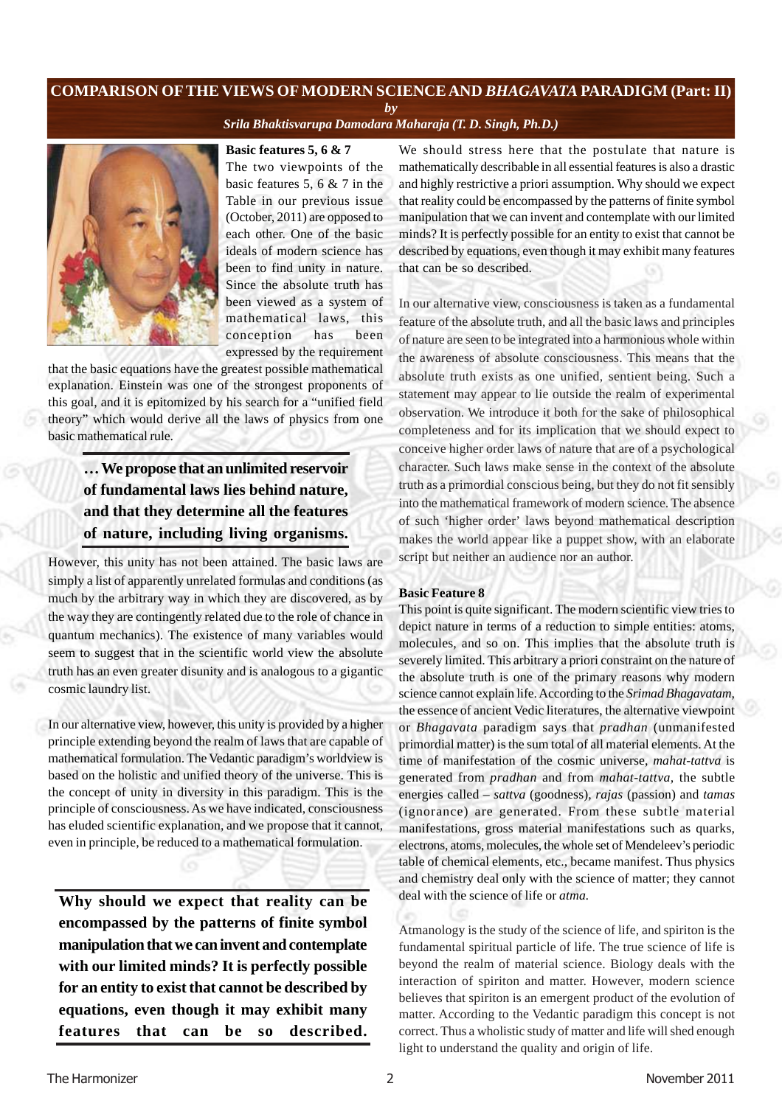# **COMPARISON OFTHE VIEWS OF MODERN SCIENCE AND** *BHAGAVATA* **PARADIGM (Part: II)**

*by*

*[Srila Bhaktisvarupa Damodara Maharaja \(T. D. Singh, Ph.D.\)](http://mahaprabhu.net/sadhusanga/blog1.php/2009/10/01/affectionate-guardians)*



**Basic features 5, 6 & 7**

The two viewpoints of the basic features 5, 6 & 7 in the Table in our previous issue (October, 2011) are opposed to each other. One of the basic ideals of modern science has been to find unity in nature. Since the absolute truth has been viewed as a system of mathematical laws, this conception has been expressed by the requirement

that the basic equations have the greatest possible mathematical explanation. Einstein was one of the strongest proponents of this goal, and it is epitomized by his search for a "unified field theory" which would derive all the laws of physics from one basic mathematical rule.

# **… We propose that an unlimited reservoir of fundamental laws lies behind nature, and that they determine all the features of nature, including living organisms.**

However, this unity has not been attained. The basic laws are simply a list of apparently unrelated formulas and conditions (as much by the arbitrary way in which they are discovered, as by the way they are contingently related due to the role of chance in quantum mechanics). The existence of many variables would seem to suggest that in the scientific world view the absolute truth has an even greater disunity and is analogous to a gigantic cosmic laundry list.

In our alternative view, however, this unity is provided by a higher principle extending beyond the realm of laws that are capable of mathematical formulation. The Vedantic paradigm's worldview is based on the holistic and unified theory of the universe. This is the concept of unity in diversity in this paradigm. This is the principle of consciousness. As we have indicated, consciousness has eluded scientific explanation, and we propose that it cannot, even in principle, be reduced to a mathematical formulation.

**Why should we expect that reality can be encompassed by the patterns of finite symbol manipulation that we can invent and contemplate with our limited minds? It is perfectly possible for an entity to exist that cannot be described by equations, even though it may exhibit many features that can be so described.**

We should stress here that the postulate that nature is mathematically describable in all essential features is also a drastic and highly restrictive a priori assumption. Why should we expect that reality could be encompassed by the patterns of finite symbol manipulation that we can invent and contemplate with our limited minds? It is perfectly possible for an entity to exist that cannot be described by equations, even though it may exhibit many features that can be so described.

In our alternative view, consciousness is taken as a fundamental feature of the absolute truth, and all the basic laws and principles of nature are seen to be integrated into a harmonious whole within the awareness of absolute consciousness. This means that the absolute truth exists as one unified, sentient being. Such a statement may appear to lie outside the realm of experimental observation. We introduce it both for the sake of philosophical completeness and for its implication that we should expect to conceive higher order laws of nature that are of a psychological character. Such laws make sense in the context of the absolute truth as a primordial conscious being, but they do not fit sensibly into the mathematical framework of modern science. The absence of such 'higher order' laws beyond mathematical description makes the world appear like a puppet show, with an elaborate script but neither an audience nor an author.

### **Basic Feature 8**

This point is quite significant. The modern scientific view tries to depict nature in terms of a reduction to simple entities: atoms, molecules, and so on. This implies that the absolute truth is severely limited. This arbitrary a priori constraint on the nature of the absolute truth is one of the primary reasons why modern science cannot explain life. According to the *Srimad Bhagavatam,* the essence of ancient Vedic literatures, the alternative viewpoint or *Bhagavata* paradigm says that *pradhan* (unmanifested primordial matter) is the sum total of all material elements. At the time of manifestation of the cosmic universe, *mahat-tattva* is generated from *pradhan* and from *mahat-tattva,* the subtle energies called – *sattva* (goodness), *rajas* (passion) and *tamas* (ignorance) are generated. From these subtle material manifestations, gross material manifestations such as quarks, electrons, atoms, molecules, the whole set of Mendeleev's periodic table of chemical elements, etc., became manifest. Thus physics and chemistry deal only with the science of matter; they cannot deal with the science of life or *atma.*

Atmanology is the study of the science of life, and spiriton is the fundamental spiritual particle of life. The true science of life is beyond the realm of material science. Biology deals with the interaction of spiriton and matter. However, modern science believes that spiriton is an emergent product of the evolution of matter. According to the Vedantic paradigm this concept is not correct. Thus a wholistic study of matter and life will shed enough light to understand the quality and origin of life.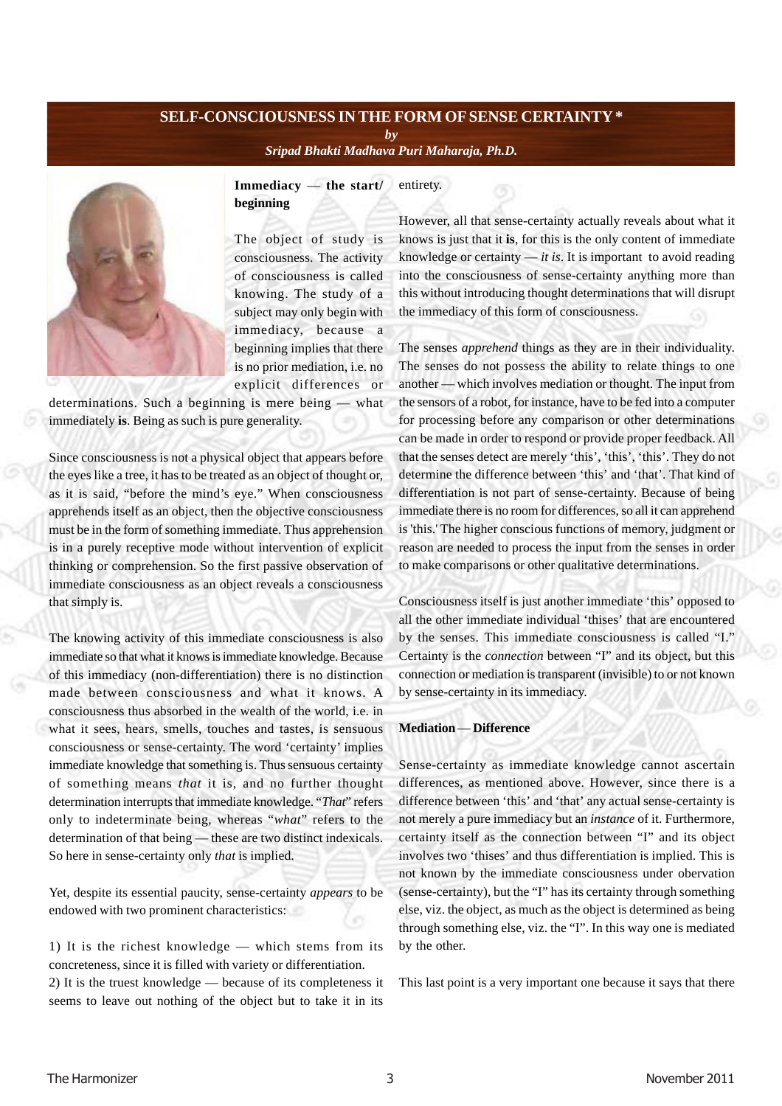## **SELF-CONSCIOUSNESS IN THE FORM OF SENSE CERTAINTY \*** *by*

*[Sripad Bhakti Madhava Puri Maharaja, Ph.D.](http://mahaprabhu.net/sadhusanga/blog1.php/2009/10/01/affectionate-guardians)*



**Immediacy** — **the start/ beginning** entirety.

The object of study is consciousness. The activity of consciousness is called knowing. The study of a subject may only begin with immediacy, because a beginning implies that there is no prior mediation, i.e. no explicit differences or

determinations. Such a beginning is mere being — what immediately **is**. Being as such is pure generality.

Since consciousness is not a physical object that appears before the eyes like a tree, it has to be treated as an object of thought or, as it is said, "before the mind's eye." When consciousness apprehends itself as an object, then the objective consciousness must be in the form of something immediate. Thus apprehension is in a purely receptive mode without intervention of explicit thinking or comprehension. So the first passive observation of immediate consciousness as an object reveals a consciousness that simply is.

The knowing activity of this immediate consciousness is also immediate so that what it knows is immediate knowledge. Because of this immediacy (non-differentiation) there is no distinction made between consciousness and what it knows. A consciousness thus absorbed in the wealth of the world, i.e. in what it sees, hears, smells, touches and tastes, is sensuous consciousness or sense-certainty. The word 'certainty' implies immediate knowledge that something is. Thus sensuous certainty of something means *that* it is, and no further thought determination interrupts that immediate knowledge. "*That*" refers only to indeterminate being, whereas "*what*" refers to the determination of that being — these are two distinct indexicals. So here in sense-certainty only *that* is implied.

Yet, despite its essential paucity, sense-certainty *appears* to be endowed with two prominent characteristics:

1) It is the richest knowledge — which stems from its concreteness, since it is filled with variety or differentiation. 2) It is the truest knowledge — because of its completeness it seems to leave out nothing of the object but to take it in its

However, all that sense-certainty actually reveals about what it knows is just that it **is**, for this is the only content of immediate knowledge or certainty  $-$  *it is*. It is important to avoid reading into the consciousness of sense-certainty anything more than this without introducing thought determinations that will disrupt the immediacy of this form of consciousness.

The senses *apprehend* things as they are in their individuality. The senses do not possess the ability to relate things to one another — which involves mediation or thought. The input from the sensors of a robot, for instance, have to be fed into a computer for processing before any comparison or other determinations can be made in order to respond or provide proper feedback. All that the senses detect are merely 'this', 'this', 'this'. They do not determine the difference between 'this' and 'that'. That kind of differentiation is not part of sense-certainty. Because of being immediate there is no room for differences, so all it can apprehend is 'this.' The higher conscious functions of memory, judgment or reason are needed to process the input from the senses in order to make comparisons or other qualitative determinations.

Consciousness itself is just another immediate 'this' opposed to all the other immediate individual 'thises' that are encountered by the senses. This immediate consciousness is called "I." Certainty is the *connection* between "I" and its object, but this connection or mediation is transparent (invisible) to or not known by sense-certainty in its immediacy.

#### **Mediation** — **Difference**

Sense-certainty as immediate knowledge cannot ascertain differences, as mentioned above. However, since there is a difference between 'this' and 'that' any actual sense-certainty is not merely a pure immediacy but an *instance* of it. Furthermore, certainty itself as the connection between "I" and its object involves two 'thises' and thus differentiation is implied. This is not known by the immediate consciousness under obervation (sense-certainty), but the "I" has its certainty through something else, viz. the object, as much as the object is determined as being through something else, viz. the "I". In this way one is mediated by the other.

This last point is a very important one because it says that there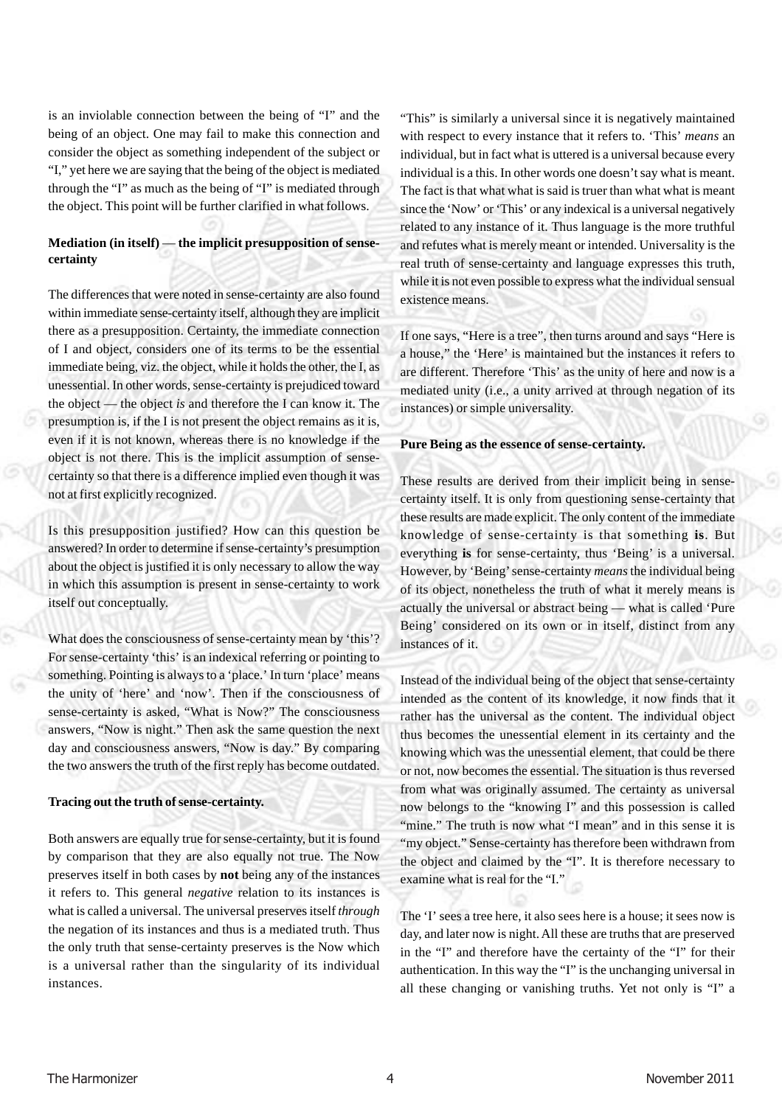is an inviolable connection between the being of "I" and the being of an object. One may fail to make this connection and consider the object as something independent of the subject or "I," yet here we are saying that the being of the object is mediated through the "I" as much as the being of "I" is mediated through the object. This point will be further clarified in what follows.

# **Mediation (in itself)** — **the implicit presupposition of sensecertainty**

The differences that were noted in sense-certainty are also found within immediate sense-certainty itself, although they are implicit there as a presupposition. Certainty, the immediate connection of I and object, considers one of its terms to be the essential immediate being, viz. the object, while it holds the other, the I, as unessential. In other words, sense-certainty is prejudiced toward the object — the object *is* and therefore the I can know it. The presumption is, if the I is not present the object remains as it is, even if it is not known, whereas there is no knowledge if the object is not there. This is the implicit assumption of sensecertainty so that there is a difference implied even though it was not at first explicitly recognized.

Is this presupposition justified? How can this question be answered? In order to determine if sense-certainty's presumption about the object is justified it is only necessary to allow the way in which this assumption is present in sense-certainty to work itself out conceptually.

What does the consciousness of sense-certainty mean by 'this'? For sense-certainty 'this' is an indexical referring or pointing to something. Pointing is always to a 'place.' In turn 'place' means the unity of 'here' and 'now'. Then if the consciousness of sense-certainty is asked, "What is Now?" The consciousness answers, "Now is night." Then ask the same question the next day and consciousness answers, "Now is day." By comparing the two answers the truth of the first reply has become outdated.

#### **Tracing out the truth of sense-certainty.**

Both answers are equally true for sense-certainty, but it is found by comparison that they are also equally not true. The Now preserves itself in both cases by **not** being any of the instances it refers to. This general *negative* relation to its instances is what is called a universal. The universal preserves itself *through* the negation of its instances and thus is a mediated truth. Thus the only truth that sense-certainty preserves is the Now which is a universal rather than the singularity of its individual instances.

"This" is similarly a universal since it is negatively maintained with respect to every instance that it refers to. 'This' *means* an individual, but in fact what is uttered is a universal because every individual is a this. In other words one doesn't say what is meant. The fact is that what what is said is truer than what what is meant since the 'Now' or 'This' or any indexical is a universal negatively related to any instance of it. Thus language is the more truthful and refutes what is merely meant or intended. Universality is the real truth of sense-certainty and language expresses this truth, while it is not even possible to express what the individual sensual existence means.

If one says, "Here is a tree", then turns around and says "Here is a house," the 'Here' is maintained but the instances it refers to are different. Therefore 'This' as the unity of here and now is a mediated unity (i.e., a unity arrived at through negation of its instances) or simple universality.

#### **Pure Being as the essence of sense-certainty.**

These results are derived from their implicit being in sensecertainty itself. It is only from questioning sense-certainty that these results are made explicit. The only content of the immediate knowledge of sense-certainty is that something **is**. But everything **is** for sense-certainty, thus 'Being' is a universal. However, by 'Being' sense-certainty *means* the individual being of its object, nonetheless the truth of what it merely means is actually the universal or abstract being — what is called 'Pure Being' considered on its own or in itself, distinct from any instances of it.

Instead of the individual being of the object that sense-certainty intended as the content of its knowledge, it now finds that it rather has the universal as the content. The individual object thus becomes the unessential element in its certainty and the knowing which was the unessential element, that could be there or not, now becomes the essential. The situation is thus reversed from what was originally assumed. The certainty as universal now belongs to the "knowing I" and this possession is called "mine." The truth is now what "I mean" and in this sense it is "my object." Sense-certainty has therefore been withdrawn from the object and claimed by the "I". It is therefore necessary to examine what is real for the "I."

The 'I' sees a tree here, it also sees here is a house; it sees now is day, and later now is night. All these are truths that are preserved in the "I" and therefore have the certainty of the "I" for their authentication. In this way the "I" is the unchanging universal in all these changing or vanishing truths. Yet not only is "I" a